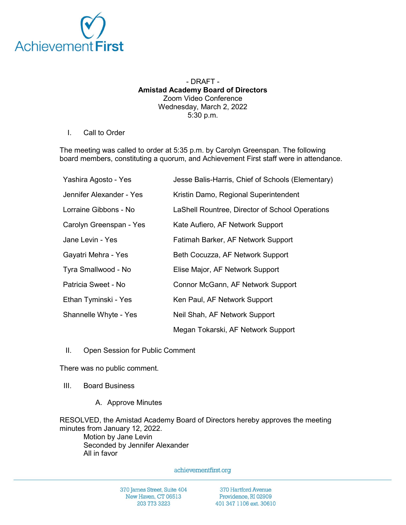

## - DRAFT - Amistad Academy Board of Directors Zoom Video Conference Wednesday, March 2, 2022 5:30 p.m.

I. Call to Order

The meeting was called to order at 5:35 p.m. by Carolyn Greenspan. The following board members, constituting a quorum, and Achievement First staff were in attendance.

| Yashira Agosto - Yes     | Jesse Balis-Harris, Chief of Schools (Elementary) |
|--------------------------|---------------------------------------------------|
| Jennifer Alexander - Yes | Kristin Damo, Regional Superintendent             |
| Lorraine Gibbons - No    | LaShell Rountree, Director of School Operations   |
| Carolyn Greenspan - Yes  | Kate Aufiero, AF Network Support                  |
| Jane Levin - Yes         | Fatimah Barker, AF Network Support                |
| Gayatri Mehra - Yes      | Beth Cocuzza, AF Network Support                  |
| Tyra Smallwood - No      | Elise Major, AF Network Support                   |
| Patricia Sweet - No      | Connor McGann, AF Network Support                 |
| Ethan Tyminski - Yes     | Ken Paul, AF Network Support                      |
| Shannelle Whyte - Yes    | Neil Shah, AF Network Support                     |
|                          | Megan Tokarski, AF Network Support                |

II. Open Session for Public Comment

There was no public comment.

- III. Board Business
	- A. Approve Minutes

RESOLVED, the Amistad Academy Board of Directors hereby approves the meeting minutes from January 12, 2022.

Motion by Jane Levin Seconded by Jennifer Alexander All in favor

achievementfirst.org

370 James Street, Suite 404 New Haven, CT 06513 203 773 3223

370 Hartford Avenue Providence, RI 02909 401 347 1106 ext. 30610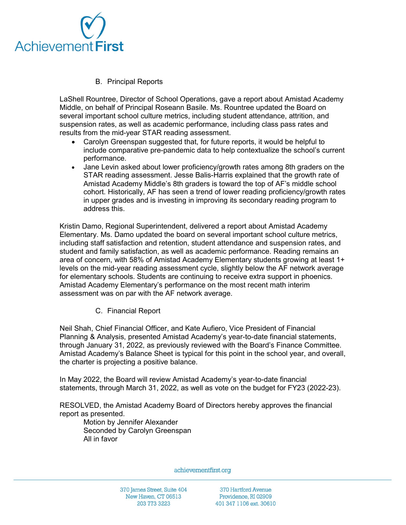

B. Principal Reports

LaShell Rountree, Director of School Operations, gave a report about Amistad Academy Middle, on behalf of Principal Roseann Basile. Ms. Rountree updated the Board on several important school culture metrics, including student attendance, attrition, and suspension rates, as well as academic performance, including class pass rates and results from the mid-year STAR reading assessment.

- Carolyn Greenspan suggested that, for future reports, it would be helpful to include comparative pre-pandemic data to help contextualize the school's current performance.
- Jane Levin asked about lower proficiency/growth rates among 8th graders on the STAR reading assessment. Jesse Balis-Harris explained that the growth rate of Amistad Academy Middle's 8th graders is toward the top of AF's middle school cohort. Historically, AF has seen a trend of lower reading proficiency/growth rates in upper grades and is investing in improving its secondary reading program to address this.

Kristin Damo, Regional Superintendent, delivered a report about Amistad Academy Elementary. Ms. Damo updated the board on several important school culture metrics, including staff satisfaction and retention, student attendance and suspension rates, and student and family satisfaction, as well as academic performance. Reading remains an area of concern, with 58% of Amistad Academy Elementary students growing at least 1+ levels on the mid-year reading assessment cycle, slightly below the AF network average for elementary schools. Students are continuing to receive extra support in phoenics. Amistad Academy Elementary's performance on the most recent math interim assessment was on par with the AF network average.

C. Financial Report

Neil Shah, Chief Financial Officer, and Kate Aufiero, Vice President of Financial Planning & Analysis, presented Amistad Academy's year-to-date financial statements, through January 31, 2022, as previously reviewed with the Board's Finance Committee. Amistad Academy's Balance Sheet is typical for this point in the school year, and overall, the charter is projecting a positive balance.

In May 2022, the Board will review Amistad Academy's year-to-date financial statements, through March 31, 2022, as well as vote on the budget for FY23 (2022-23).

RESOLVED, the Amistad Academy Board of Directors hereby approves the financial report as presented.

Motion by Jennifer Alexander Seconded by Carolyn Greenspan All in favor

achievementfirst.org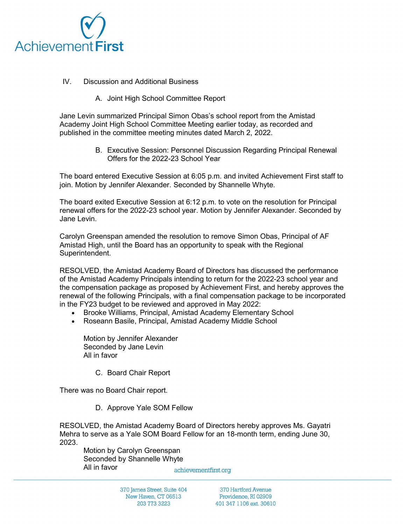

## IV. Discussion and Additional Business

A. Joint High School Committee Report

Jane Levin summarized Principal Simon Obas's school report from the Amistad Academy Joint High School Committee Meeting earlier today, as recorded and published in the committee meeting minutes dated March 2, 2022.

> B. Executive Session: Personnel Discussion Regarding Principal Renewal Offers for the 2022-23 School Year

The board entered Executive Session at 6:05 p.m. and invited Achievement First staff to join. Motion by Jennifer Alexander. Seconded by Shannelle Whyte.

The board exited Executive Session at 6:12 p.m. to vote on the resolution for Principal renewal offers for the 2022-23 school year. Motion by Jennifer Alexander. Seconded by Jane Levin.

Carolyn Greenspan amended the resolution to remove Simon Obas, Principal of AF Amistad High, until the Board has an opportunity to speak with the Regional Superintendent.

RESOLVED, the Amistad Academy Board of Directors has discussed the performance of the Amistad Academy Principals intending to return for the 2022-23 school year and the compensation package as proposed by Achievement First, and hereby approves the renewal of the following Principals, with a final compensation package to be incorporated in the FY23 budget to be reviewed and approved in May 2022:

- Brooke Williams, Principal, Amistad Academy Elementary School
- Roseann Basile, Principal, Amistad Academy Middle School

Motion by Jennifer Alexander Seconded by Jane Levin All in favor

C. Board Chair Report

There was no Board Chair report.

D. Approve Yale SOM Fellow

RESOLVED, the Amistad Academy Board of Directors hereby approves Ms. Gayatri Mehra to serve as a Yale SOM Board Fellow for an 18-month term, ending June 30, 2023.

Motion by Carolyn Greenspan Seconded by Shannelle Whyte All in favor

achievementfirst.org